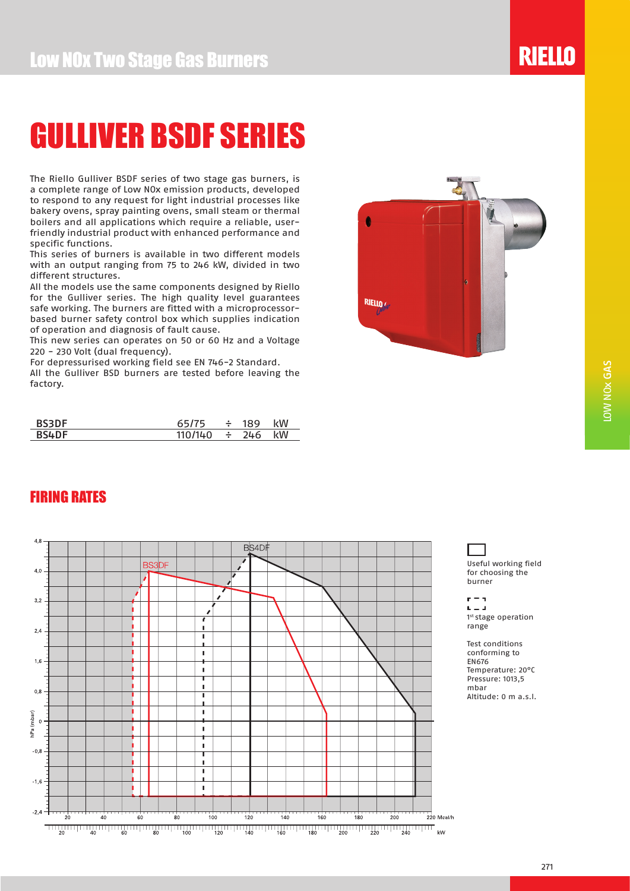The Riello Gulliver BSDF series of two stage gas burners, is a complete range of Low NOx emission products, developed to respond to any request for light industrial processes like bakery ovens, spray painting ovens, small steam or thermal boilers and all applications which require a reliable, userfriendly industrial product with enhanced performance and specific functions.

This series of burners is available in two different models with an output ranging from 75 to 246 kW, divided in two different structures.

All the models use the same components designed by Riello for the Gulliver series. The high quality level guarantees safe working. The burners are fitted with a microprocessorbased burner safety control box which supplies indication of operation and diagnosis of fault cause.

This new series can operates on 50 or 60 Hz and a Voltage 220 - 230 Volt (dual frequency).

For depressurised working field see EN 746-2 Standard.

All the Gulliver BSD burners are tested before leaving the factory.

| <b>BS3DF</b> | 65/75   | 189        | kW |
|--------------|---------|------------|----|
| <b>BS4DF</b> | 110/140 | $\div$ 246 | kW |

FIRING RATES



#### $4,8$ BS4D  $4,0$  $\lambda$  $3.2$ 7 ×  $2.4$  $\blacksquare$  $\bar{1}$  $1.6$ h  $\mathbf{r}$ т  $\mathbf{I}$  $0.8$ п  $\mathbf{r}$ hPa (mbar)  $\overline{c}$ ÷.  $\mathbf{r}$ t  $\mathbf{r}$  $-0.5$  $\mathbf{r}$ T ×  $-1,6$ ٠,  $\mathbf{I}$  $-2.4$  $\frac{1}{140}$  $\frac{1}{120}$ .<br>80  $\frac{1}{100}$ ㅠㅠ<br>160 \_\_\_<br>180  $\frac{1}{200}$

Useful working field for choosing the burner

 $r = 1$  $L = 1$ 1st stage operation range

Test conditions conforming to EN676 Temperature: 20°C Pressure: 1013,5 mbar Altitude: 0 m a.s.l.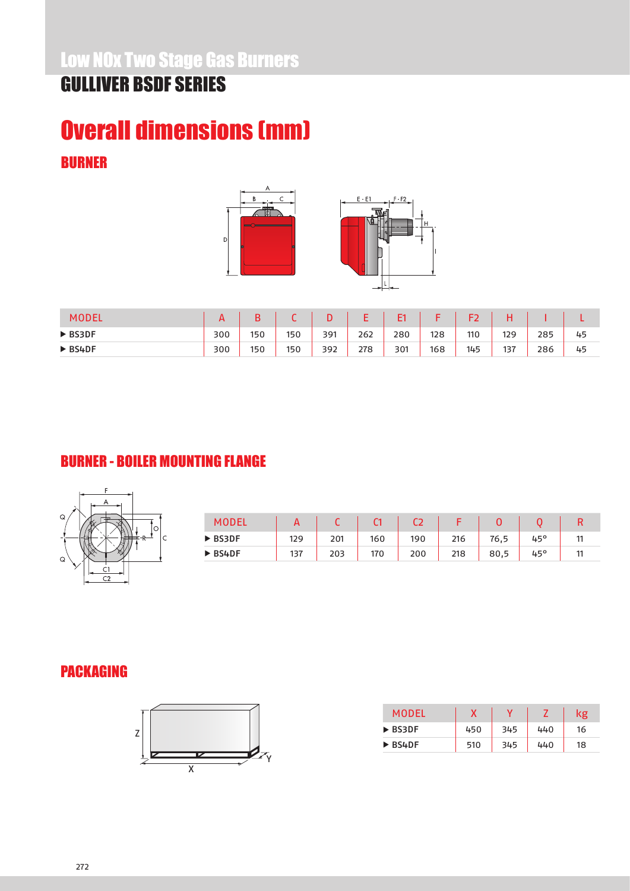### Overall dimensions (mm) BURNER





| <b>MODEL</b>           |     |     |     |     |     | F1  |     |     |     |     |    |
|------------------------|-----|-----|-----|-----|-----|-----|-----|-----|-----|-----|----|
| $\triangleright$ BS3DF | 300 | 150 | 150 | 391 | 262 | 280 | 128 | 110 | 129 | 285 | 45 |
| $\triangleright$ BS4DF | 300 | 150 | 150 | 392 | 278 | 301 | 168 | 145 | 137 | 286 | 45 |

### BURNER - BOILER MOUNTING FLANGE



|                        | <u>r</u> |     |     |     |     |      |     |    |
|------------------------|----------|-----|-----|-----|-----|------|-----|----|
| ▶ BS3DF                | 129      | 201 | 160 | 190 | 216 | 76,5 | 45° | 44 |
| $\triangleright$ BS4DF | 137      | 203 | 170 | 200 | 218 | 80,5 | 45° | 44 |

### PACKAGING



| MODEL                  |     | v   |     | kg |
|------------------------|-----|-----|-----|----|
| $\triangleright$ BS3DF | 450 | 345 | 440 | 16 |
| $\triangleright$ BS4DF | 510 | 345 | 440 | 18 |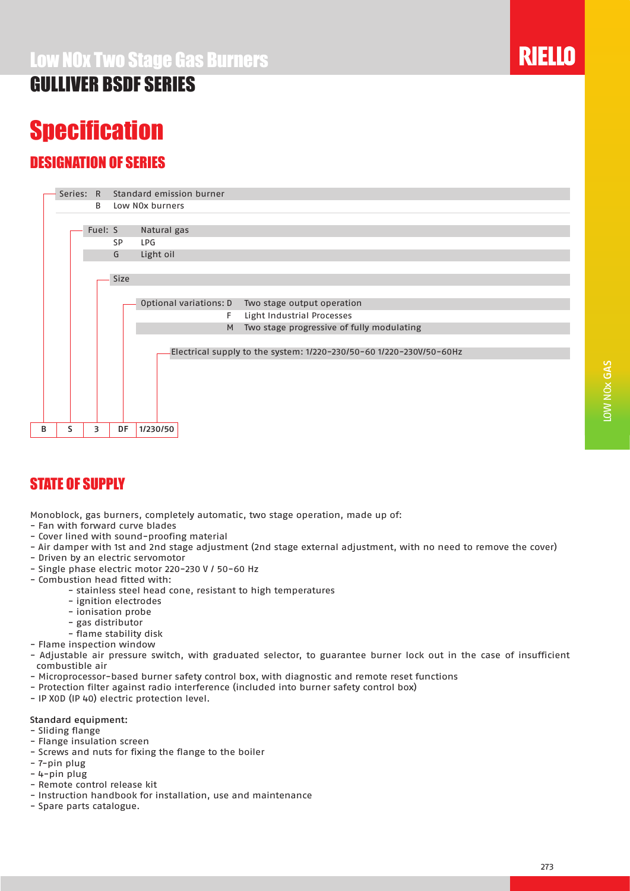## **Specification**

### DESIGNATION OF SERIES

|   |   | Series: R |      |     | Standard emission burner                                            |  |
|---|---|-----------|------|-----|---------------------------------------------------------------------|--|
|   |   | B         |      |     | Low NOx burners                                                     |  |
|   |   |           |      |     |                                                                     |  |
|   |   | Fuel: S   |      |     | Natural gas                                                         |  |
|   |   |           | SP   | LPG |                                                                     |  |
|   |   |           | G    |     | Light oil                                                           |  |
|   |   |           |      |     |                                                                     |  |
|   |   |           | Size |     |                                                                     |  |
|   |   |           |      |     |                                                                     |  |
|   |   |           |      |     | Optional variations: D<br>Two stage output operation                |  |
|   |   |           |      |     | Light Industrial Processes<br>F.                                    |  |
|   |   |           |      |     | Two stage progressive of fully modulating<br>M                      |  |
|   |   |           |      |     |                                                                     |  |
|   |   |           |      |     | Electrical supply to the system: 1/220-230/50-60 1/220-230V/50-60Hz |  |
|   |   |           |      |     |                                                                     |  |
|   |   |           |      |     |                                                                     |  |
|   |   |           |      |     |                                                                     |  |
|   |   |           |      |     |                                                                     |  |
|   |   |           |      |     |                                                                     |  |
| в | s | 3         | DF   |     | 1/230/50                                                            |  |
|   |   |           |      |     |                                                                     |  |

### STATE OF SUPPLY

Monoblock, gas burners, completely automatic, two stage operation, made up of:

- Fan with forward curve blades
- Cover lined with sound-proofing material
- Air damper with 1st and 2nd stage adjustment (2nd stage external adjustment, with no need to remove the cover)
- Driven by an electric servomotor
- Single phase electric motor 220-230 V / 50-60 Hz
- Combustion head fitted with:
	- stainless steel head cone, resistant to high temperatures
		- ignition electrodes
		- ionisation probe
		- gas distributor
	- flame stability disk
- Flame inspection window
- Adjustable air pressure switch, with graduated selector, to guarantee burner lock out in the case of insufficient combustible air
- Microprocessor-based burner safety control box, with diagnostic and remote reset functions
- Protection filter against radio interference (included into burner safety control box)
- IP X0D (IP 40) electric protection level.

#### Standard equipment:

- Sliding flange
- Flange insulation screen
- Screws and nuts for fixing the flange to the boiler
- 7-pin plug
- 4-pin plug
- Remote control release kit
- Instruction handbook for installation, use and maintenance
- Spare parts catalogue.

LOW NOx GAS

LOW NOX GAS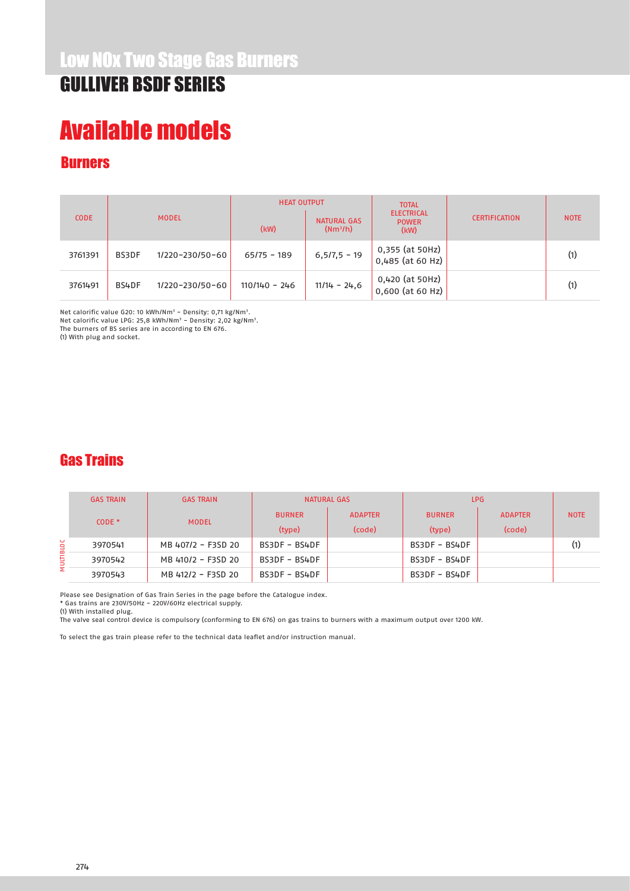## Available models

### **Burners**

| <b>CODE</b> |       |                 | <b>HEAT OUTPUT</b> |                           | <b>TOTAL</b>                              |                      |             |
|-------------|-------|-----------------|--------------------|---------------------------|-------------------------------------------|----------------------|-------------|
|             |       | <b>MODEL</b>    | (kW)               | NATURAL GAS<br>$(Nm^3/h)$ | <b>ELECTRICAL</b><br><b>POWER</b><br>(kW) | <b>CERTIFICATION</b> | <b>NOTE</b> |
| 3761391     | BS3DF | 1/220-230/50-60 | $65/75 - 189$      | $6,5/7,5 - 19$            | 0,355 (at 50Hz)<br>0,485 (at 60 Hz)       |                      | (1)         |
| 3761491     | BS4DF | 1/220-230/50-60 | $110/140 - 246$    | $11/14 - 24.6$            | 0,420 (at 50Hz)<br>$0,600$ (at 60 Hz)     |                      | (1)         |

Net calorific value G20: 10 kWh/Nm<sup>3</sup> - Density: 0,71 kg/Nm<sup>3</sup>. Net calorific value LPG: 25,8 kWh/Nm<sup>3</sup> - Density: 2,02 kg/Nm<sup>3</sup>. The burners of BS series are in according to EN 676.

(1) With plug and socket.

#### Gas Trains

|          | <b>GAS TRAIN</b> | <b>GAS TRAIN</b>   |               | NATURAL GAS    | LPG.          |                |             |
|----------|------------------|--------------------|---------------|----------------|---------------|----------------|-------------|
| $CODE *$ |                  |                    | <b>BURNER</b> | <b>ADAPTER</b> | <b>BURNER</b> | <b>ADAPTER</b> | <b>NOTE</b> |
|          | <b>MODEL</b>     | (type)             | (code)        | (type)         | (code)        |                |             |
|          | 3970541          | MB 407/2 - F3SD 20 | BS3DF - BS4DF |                | BS3DF - BS4DF |                | (1)         |
| ULTIBLOC | 3970542          | MB 410/2 - F3SD 20 | BS3DF - BS4DF |                | BS3DF - BS4DF |                |             |
| Σ        | 3970543          | MB 412/2 - F3SD 20 | BS3DF - BS4DF |                | BS3DF - BS4DF |                |             |

Please see Designation of Gas Train Series in the page before the Catalogue index.

\* Gas trains are 230V/50Hz - 220V/60Hz electrical supply.

(1) With installed plug.

The valve seal control device is compulsory (conforming to EN 676) on gas trains to burners with a maximum output over 1200 kW.

To select the gas train please refer to the technical data leaflet and/or instruction manual.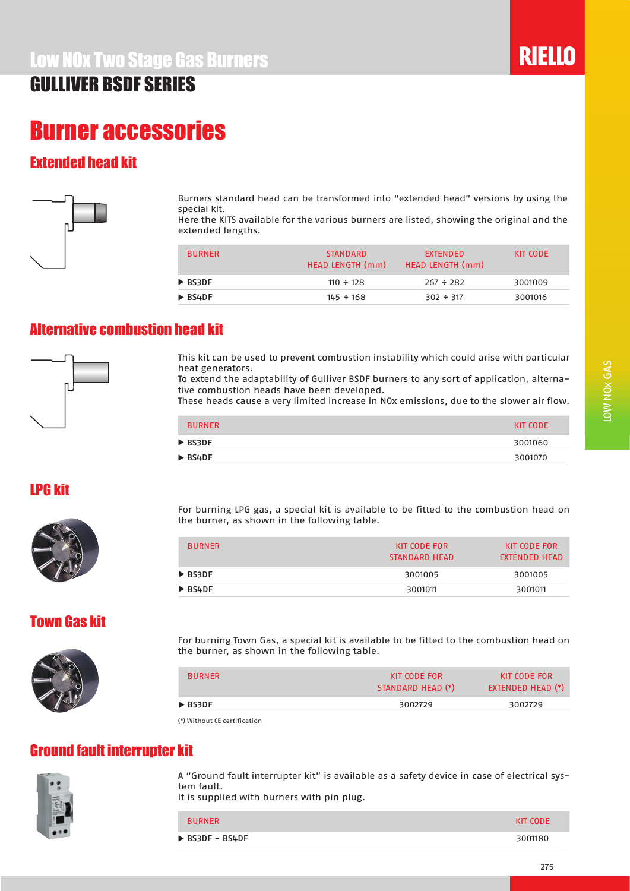### Burner accessories

### Extended head kit



Burners standard head can be transformed into "extended head" versions by using the special kit.

Here the KITS available for the various burners are listed, showing the original and the extended lengths.

| <b>BURNER</b>          | <b>STANDARD</b><br>HEAD LENGTH (mm) | <b>EXTENDED</b><br><b>HEAD LENGTH (mm)</b> | KIT CODE |
|------------------------|-------------------------------------|--------------------------------------------|----------|
| ▶ BS3DF                | $110 \div 128$                      | $267 \div 282$                             | 3001009  |
| $\triangleright$ BS4DF | $145 \div 168$                      | $302 \div 317$                             | 3001016  |

#### Alternative combustion head kit



This kit can be used to prevent combustion instability which could arise with particular heat generators.

To extend the adaptability of Gulliver BSDF burners to any sort of application, alternative combustion heads have been developed.

These heads cause a very limited increase in NOx emissions, due to the slower air flow.

| <b>BURNER</b>          | KIT CODE |
|------------------------|----------|
| $\triangleright$ BS3DF | 3001060  |
| $\triangleright$ BS4DF | 3001070  |

#### LPG kit



For burning LPG gas, a special kit is available to be fitted to the combustion head on the burner, as shown in the following table.

| KIT CODE FOR<br>STANDARD HEAD | <b>KIT CODE FOR</b><br>EXTENDED HEAD |
|-------------------------------|--------------------------------------|
| 3001005                       | 3001005                              |
| 3001011                       | 3001011                              |
|                               |                                      |

#### Town Gas kit



For burning Town Gas, a special kit is available to be fitted to the combustion head on the burner, as shown in the following table.

| <b>BURNER</b>                                                   | KIT CODE FOR<br>STANDARD HEAD (*) | KIT CODE FOR<br><b>EXTENDED HEAD (*)</b> |
|-----------------------------------------------------------------|-----------------------------------|------------------------------------------|
| $\triangleright$ BS3DF                                          | 3002729                           | 3002729                                  |
| $\{x\}$ $\{M\}$ $\{M\}$ $\{m\}$ $\{m\}$ $\{m\}$ $\{m\}$ $\{m\}$ |                                   |                                          |

(\*) Without CE certification

#### Ground fault interrupter kit



A "Ground fault interrupter kit" is available as a safety device in case of electrical system fault.

It is supplied with burners with pin plug.

| <b>BURNER</b>                  | KIT CODE |
|--------------------------------|----------|
| $\triangleright$ BS3DF - BS4DF | 3001180  |
|                                |          |

**RIELLO**